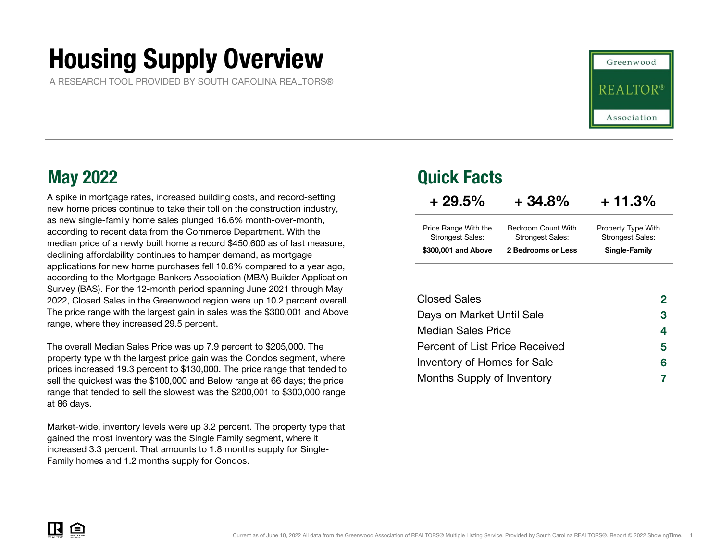# Housing Supply Overview

A RESEARCH TOOL PROVIDED BY SOUTH CAROLINA REALTORS®

A spike in mortgage rates, increased building costs, and record-setting new home prices continue to take their toll on the construction industry, as new single-family home sales plunged 16.6% month-over-month, according to recent data from the Commerce Department. With the median price of a newly built home a record \$450,600 as of last measure, declining affordability continues to hamper demand, as mortgage applications for new home purchases fell 10.6% compared to a year ago, according to the Mortgage Bankers Association (MBA) Builder Application Survey (BAS). For the 12-month period spanning June 2021 through May 2022, Closed Sales in the Greenwood region were up 10.2 percent overall. The price range with the largest gain in sales was the \$300,001 and Above range, where they increased 29.5 percent.

The overall Median Sales Price was up 7.9 percent to \$205,000. The property type with the largest price gain was the Condos segment, where prices increased 19.3 percent to \$130,000. The price range that tended to sell the quickest was the \$100,000 and Below range at 66 days; the price range that tended to sell the slowest was the \$200,001 to \$300,000 range at 86 days.

Market-wide, inventory levels were up 3.2 percent. The property type that gained the most inventory was the Single Family segment, where it increased 3.3 percent. That amounts to 1.8 months supply for Single-Family homes and 1.2 months supply for Condos.

### May 2022 Quick Facts

| $+29.5\%$                                       | $+34.8%$                                      | $+11.3%$                                      |
|-------------------------------------------------|-----------------------------------------------|-----------------------------------------------|
| Price Range With the<br><b>Strongest Sales:</b> | Bedroom Count With<br><b>Strongest Sales:</b> | Property Type With<br><b>Strongest Sales:</b> |
| \$300,001 and Above                             | 2 Bedrooms or Less                            | Single-Family                                 |

Greenwood

Association

| <b>Closed Sales</b>                   | 2  |
|---------------------------------------|----|
| Days on Market Until Sale             | 3  |
| <b>Median Sales Price</b>             | 4  |
| <b>Percent of List Price Received</b> | 5. |
| Inventory of Homes for Sale           | 6  |
| Months Supply of Inventory            |    |

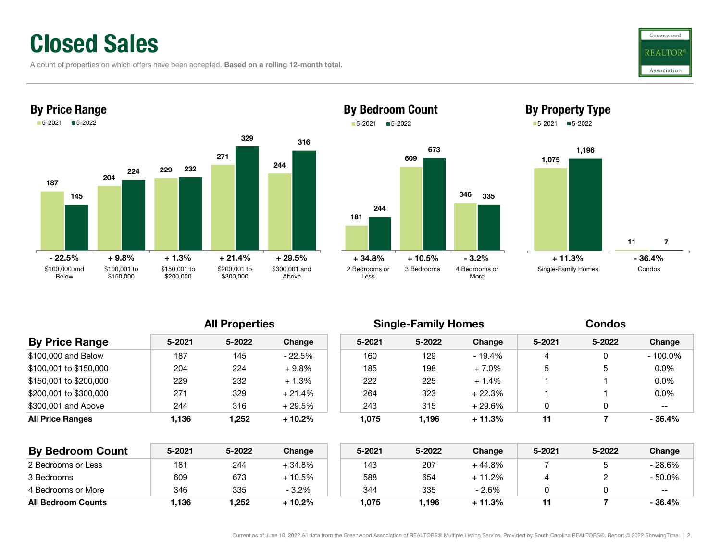### Closed Sales

A count of properties on which offers have been accepted. Based on a rolling 12-month total.









All Properties **Single-Family Homes** Condos

More

| <b>By Price Range</b>   | $5 - 2021$ | 5-2022 | Change   | $5 - 2021$ | 5-2022 | Change   | $5 - 2021$ | 5-2022 | Change     |
|-------------------------|------------|--------|----------|------------|--------|----------|------------|--------|------------|
| \$100,000 and Below     | 187        | 145    | - 22.5%  | 160        | 129    | - 19.4%  |            |        | $-100.0\%$ |
| \$100.001 to \$150.000  | 204        | 224    | $+9.8%$  | 185        | 198    | $+7.0%$  | 5          | ა      | $0.0\%$    |
| \$150.001 to \$200.000  | 229        | 232    | $+1.3%$  | 222        | 225    | $+1.4%$  |            |        | $0.0\%$    |
| \$200,001 to \$300,000  | 271        | 329    | $+21.4%$ | 264        | 323    | + 22.3%  |            |        | $0.0\%$    |
| \$300,001 and Above     | 244        | 316    | $+29.5%$ | 243        | 315    | + 29.6%  |            |        | $- -$      |
| <b>All Price Ranges</b> | 1,136      | 252.ا  | $+10.2%$ | 1.075      | 1,196  | $+11.3%$ | 11         |        | $-36.4%$   |
|                         |            |        |          |            |        |          |            |        |            |

Less

| <b>By Bedroom Count</b>   | 5-2021 | 5-2022 | Change   | $5 - 2021$ | 5-2022 | Change   | 5-2021 | 5-2022 | Change   |
|---------------------------|--------|--------|----------|------------|--------|----------|--------|--------|----------|
| 2 Bedrooms or Less        | 181    | 244    | + 34.8%  | 143        | 207    | + 44.8%  |        |        | - 28.6%  |
| 3 Bedrooms                | 609    | 673    | $+10.5%$ | 588        | 654    | $+11.2%$ |        |        | - 50.0%  |
| 4 Bedrooms or More        | 346    | 335    | $-3.2%$  | 344        | 335    | - 2.6%   |        |        | $- -$    |
| <b>All Bedroom Counts</b> | .136   | 1.252  | + 10.2%  | 1.075      | .196   | $+11.3%$ |        |        | $-36.4%$ |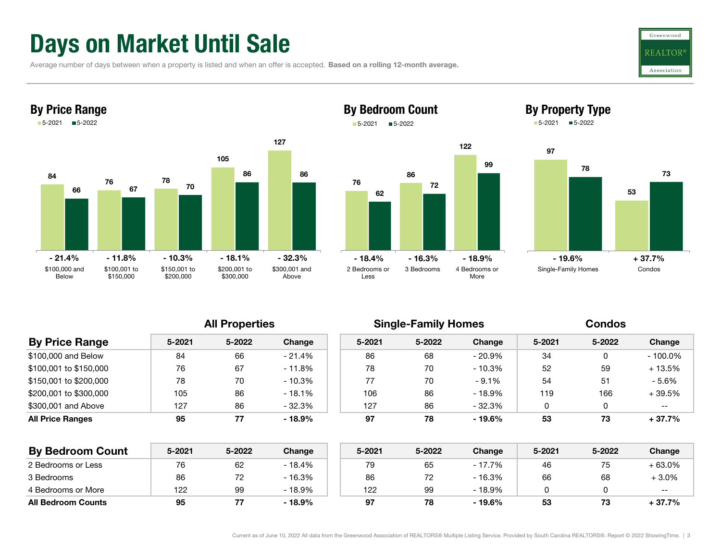## Days on Market Until Sale

Average number of days between when a property is listed and when an offer is accepted. Based on a rolling 12-month average.





### By Bedroom Count 5-2021■5-2022





| <b>By Price Range</b>   | $5 - 2021$ | 5-2022 | Change   | $5 - 2021$ | 5-2022 | Change    | 5-2021 | 5-2022 | Change     |
|-------------------------|------------|--------|----------|------------|--------|-----------|--------|--------|------------|
| \$100,000 and Below     | 84         | 66     | $-21.4%$ | 86         | 68     | - 20.9%   | 34     |        | $-100.0\%$ |
| \$100,001 to \$150,000  | 76         | 67     | $-11.8%$ | 78         | 70     | - 10.3%   | 52     | 59     | + 13.5%    |
| \$150,001 to \$200,000  | 78         | 70     | $-10.3%$ | 77         | 70     | $-9.1%$   | 54     | 51     | $-5.6%$    |
| \$200,001 to \$300,000  | 105        | 86     | $-18.1%$ | 106        | 86     | $-18.9\%$ | 119    | 166    | $+39.5%$   |
| \$300,001 and Above     | 127        | 86     | $-32.3%$ | 127        | 86     | $-32.3%$  |        |        | $- -$      |
| <b>All Price Ranges</b> | 95         | 77     | $-18.9%$ | 97         | 78     | - 19.6%   | 53     | 73     | $+37.7%$   |
|                         |            |        |          |            |        |           |        |        |            |

| <b>By Bedroom Count</b>   | 5-2021 | 5-2022 | Change   | 5-2021 | 5-2022 | Change   | 5-2021 | 5-2022 | Change  |
|---------------------------|--------|--------|----------|--------|--------|----------|--------|--------|---------|
| 2 Bedrooms or Less        | 76     | 62     | $-18.4%$ | 79     | 65     | - 17.7%  | 46     | ں ،    | + 63.0% |
| 3 Bedrooms                | 86     | ے ا    | - 16.3%  | 86     | 72     | - 16.3%  | 66     | 68     | + 3.0%  |
| 4 Bedrooms or More        | 122    | 99     | - 18.9%  | 122    | 99     | $-18.9%$ |        |        | $- -$   |
| <b>All Bedroom Counts</b> | 95     |        | $-18.9%$ | 97     | 78     | $-19.6%$ | 53     |        | + 37.7% |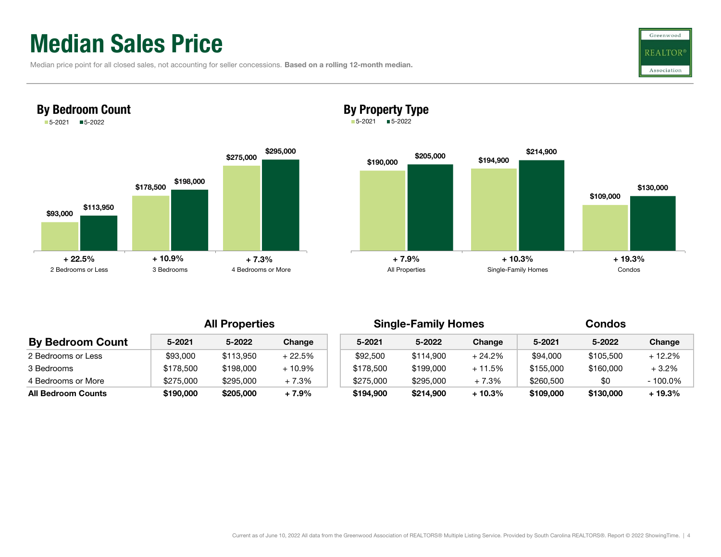## Median Sales Price

By Bedroom Count

|  | Median price point for all closed sales, not accounting for seller concessions. Based on a rolling 12-month median. |  |
|--|---------------------------------------------------------------------------------------------------------------------|--|
|  |                                                                                                                     |  |





### By Property Type

5-2021 5-2022



| <b>By Bedroom Count</b>   | 5-2021    | 5-2022    | Change    | $5 - 2021$ | 5-2022    | Change   | 5-2021    | 5-2022    | Change  |
|---------------------------|-----------|-----------|-----------|------------|-----------|----------|-----------|-----------|---------|
| 2 Bedrooms or Less        | \$93,000  | \$113,950 | $+22.5%$  | \$92,500   | \$114,900 | + 24.2%  | \$94,000  | \$105,500 | + 12.2% |
| 3 Bedrooms                | \$178.500 | \$198,000 | $+10.9\%$ | \$178,500  | \$199,000 | $+11.5%$ | \$155,000 | \$160,000 | $+3.2%$ |
| 4 Bedrooms or More        | \$275,000 | \$295,000 | $+7.3%$   | \$275,000  | \$295,000 | $+7.3%$  | \$260,500 | \$0       | 100.0%  |
| <b>All Bedroom Counts</b> | \$190.000 | \$205,000 | $+7.9%$   | \$194,900  | \$214,900 | + 10.3%  | \$109,000 | \$130,000 | + 19.3% |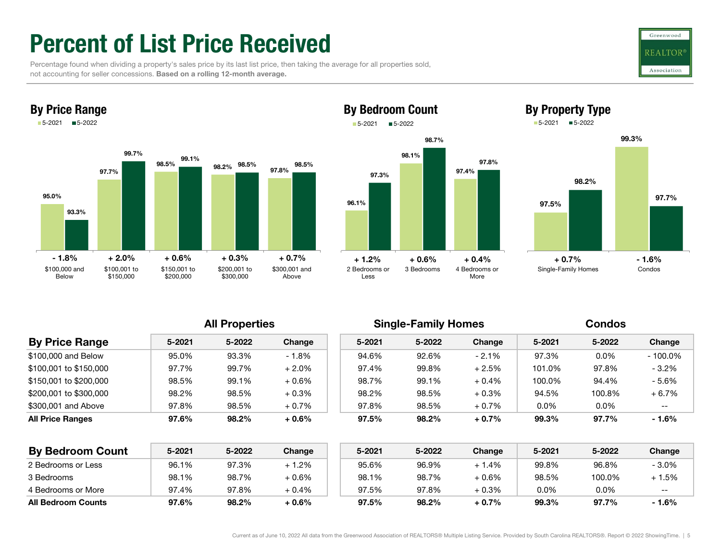## Percent of List Price Received

 Percentage found when dividing a property's sales price by its last list price, then taking the average for all properties sold, not accounting for seller concessions. Based on a rolling 12-month average.





### 98.1%97.4% 97.3%98.7%By Bedroom Count 5-2021 5-2022



97.8%



| <b>By Price Range</b>   | $5 - 2021$ | 5-2022 | Change   | $5 - 2021$ | 5-2022 | Change   | 5-2021  | 5-2022  | Change     |  |
|-------------------------|------------|--------|----------|------------|--------|----------|---------|---------|------------|--|
| \$100,000 and Below     | 95.0%      | 93.3%  | $-1.8%$  | 94.6%      | 92.6%  | $-2.1%$  | 97.3%   | $0.0\%$ | $-100.0\%$ |  |
| \$100,001 to \$150,000  | 97.7%      | 99.7%  | $+2.0\%$ | 97.4%      | 99.8%  | $+2.5%$  | 101.0%  | 97.8%   | $-3.2%$    |  |
| \$150,001 to \$200,000  | 98.5%      | 99.1%  | $+0.6%$  | 98.7%      | 99.1%  | $+0.4\%$ | 100.0%  | 94.4%   | $-5.6%$    |  |
| \$200,001 to \$300,000  | 98.2%      | 98.5%  | $+0.3%$  | 98.2%      | 98.5%  | $+0.3%$  | 94.5%   | 100.8%  | $+6.7%$    |  |
| \$300,001 and Above     | 97.8%      | 98.5%  | $+0.7%$  | 97.8%      | 98.5%  | $+0.7%$  | $0.0\%$ | $0.0\%$ | --         |  |
| <b>All Price Ranges</b> | 97.6%      | 98.2%  | $+0.6\%$ | 97.5%      | 98.2%  | $+0.7%$  | 99.3%   | 97.7%   | - 1.6%     |  |

| <b>By Bedroom Count</b>   | 5-2021 | 5-2022 | Change | 5-2021 | 5-2022 | Change   | 5-2021  | 5-2022 | Change  |
|---------------------------|--------|--------|--------|--------|--------|----------|---------|--------|---------|
| 2 Bedrooms or Less        | 96.1%  | 97.3%  | + 1.2% | 95.6%  | 96.9%  | + 1.4%   | 99.8%   | 96.8%  | $-3.0%$ |
| 3 Bedrooms                | 98.1%  | 98.7%  | + 0.6% | 98.1%  | 98.7%  | $+0.6\%$ | 98.5%   | 100.0% | + 1.5%  |
| 4 Bedrooms or More        | 97.4%  | 97.8%  | + 0.4% | 97.5%  | 97.8%  | $+0.3%$  | $0.0\%$ | 0.0%   | $- -$   |
| <b>All Bedroom Counts</b> | 97.6%  | 98.2%  | + 0.6% | 97.5%  | 98.2%  | $+0.7%$  | 99.3%   | 97.7%  | - 1.6%  |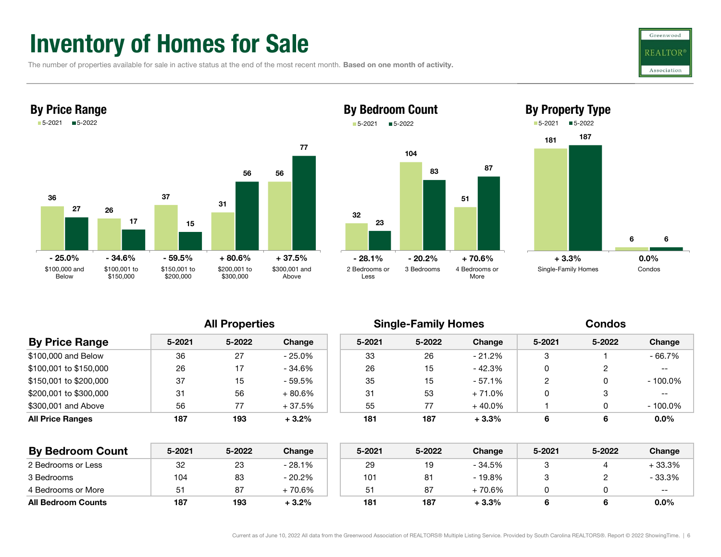### Inventory of Homes for Sale

The number of properties available for sale in active status at the end of the most recent month. Based on one month of activity.









| <b>By Price Range</b>  | $5 - 2021$ | 5-2022 | Change   | $5 - 2021$ | 5-2022 | Change    | 5-2021 | 5-2022 | Change     |
|------------------------|------------|--------|----------|------------|--------|-----------|--------|--------|------------|
| \$100,000 and Below    | 36         | 27     | - 25.0%  | 33         | 26     | $-21.2\%$ |        |        | - 66.7%    |
| \$100,001 to \$150,000 | 26         | 17     | - 34.6%  | 26         | 15     | - 42.3%   |        |        | $- -$      |
| \$150,001 to \$200,000 | 37         | 15     | - 59.5%  | 35         | 15     | $-57.1\%$ | റ      |        | $-100.0\%$ |
| \$200,001 to \$300,000 | 31         | 56     | $+80.6%$ | 31         | 53     | $+71.0\%$ |        |        | $- -$      |
| \$300,001 and Above    | 56         | 77     | $+37.5%$ | 55         | 77     | $+40.0\%$ |        |        | $-100.0\%$ |
| All Price Ranges       | 187        | 193    | $+3.2%$  | 181        | 187    | $+3.3%$   | 6      | 6      | $0.0\%$    |
|                        |            |        |          |            |        |           |        |        |            |

| <b>By Bedroom Count</b>   | 5-2021 | 5-2022 | Change   | 5-2021 | 5-2022 | Change  | 5-2021 | 5-2022 | Change  |
|---------------------------|--------|--------|----------|--------|--------|---------|--------|--------|---------|
| 2 Bedrooms or Less        | 32     | 23     | - 28.1%  | 29     | 19     | - 34.5% |        |        | + 33.3% |
| 3 Bedrooms                | 104    | 83     | - 20.2%  | 101    | 81     | - 19.8% |        |        | - 33.3% |
| 4 Bedrooms or More        | 51     | 87     | $+70.6%$ | 51     | 87     | 70.6%   |        |        | $- -$   |
| <b>All Bedroom Counts</b> | 187    | 193    | $+3.2\%$ | 181    | 187    | $+3.3%$ |        |        | $0.0\%$ |